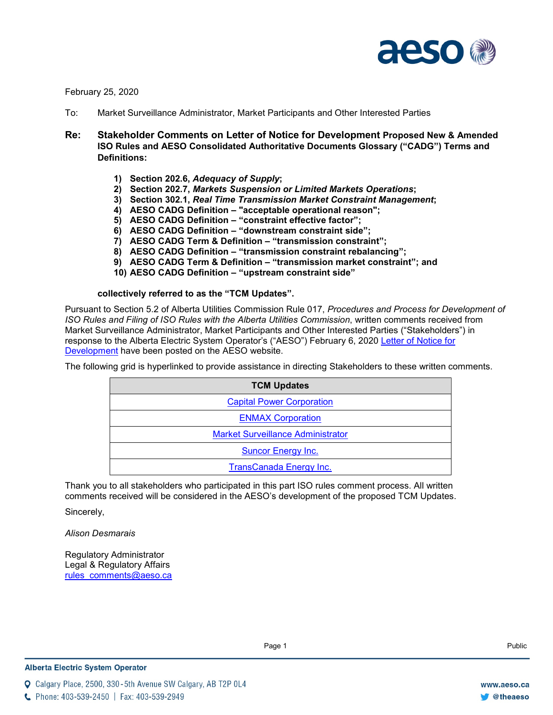

February 25, 2020

- To: Market Surveillance Administrator, Market Participants and Other Interested Parties
- **Re: Stakeholder Comments on Letter of Notice for Development Proposed New & Amended ISO Rules and AESO Consolidated Authoritative Documents Glossary ("CADG") Terms and Definitions:**
	- **1) Section 202.6,** *Adequacy of Supply***;**
	- **2) Section 202.7,** *Markets Suspension or Limited Markets Operations***;**
	- **3) Section 302.1,** *Real Time Transmission Market Constraint Management***;**
	- **4) AESO CADG Definition – "acceptable operational reason";**
	- **5) AESO CADG Definition – "constraint effective factor";**
	- **6) AESO CADG Definition – "downstream constraint side";**
	- **7) AESO CADG Term & Definition – "transmission constraint";**
	- **8) AESO CADG Definition – "transmission constraint rebalancing";**
	- **9) AESO CADG Term & Definition – "transmission market constraint"; and**
	- **10) AESO CADG Definition – "upstream constraint side"**

**collectively referred to as the "TCM Updates".**

Pursuant to Section 5.2 of Alberta Utilities Commission Rule 017, *Procedures and Process for Development of ISO Rules and Filing of ISO Rules with the Alberta Utilities Commission*, written comments received from Market Surveillance Administrator, Market Participants and Other Interested Parties ("Stakeholders") in response to the Alberta Electric System Operator's ("AESO") February 6, 2020 [Letter of Notice for](https://www.aeso.ca/assets/Uploads/Letter-of-Notice-TCM-Updates-Stage-1.pdf)  [Development](https://www.aeso.ca/assets/Uploads/Letter-of-Notice-TCM-Updates-Stage-1.pdf) have been posted on the AESO website.

The following grid is hyperlinked to provide assistance in directing Stakeholders to these written comments.

| <b>TCM Updates</b>                       |
|------------------------------------------|
| <b>Capital Power Corporation</b>         |
| <b>ENMAX Corporation</b>                 |
| <b>Market Surveillance Administrator</b> |
| Suncor Energy Inc.                       |
| <b>TransCanada Energy Inc.</b>           |

Thank you to all stakeholders who participated in this part ISO rules comment process. All written comments received will be considered in the AESO's development of the proposed TCM Updates.

Sincerely,

*Alison Desmarais*

Regulatory Administrator Legal & Regulatory Affairs [rules\\_comments@aeso.ca](mailto:rules_comments@aeso.ca)

Calgary Place, 2500, 330-5th Avenue SW Calgary, AB T2P 0L4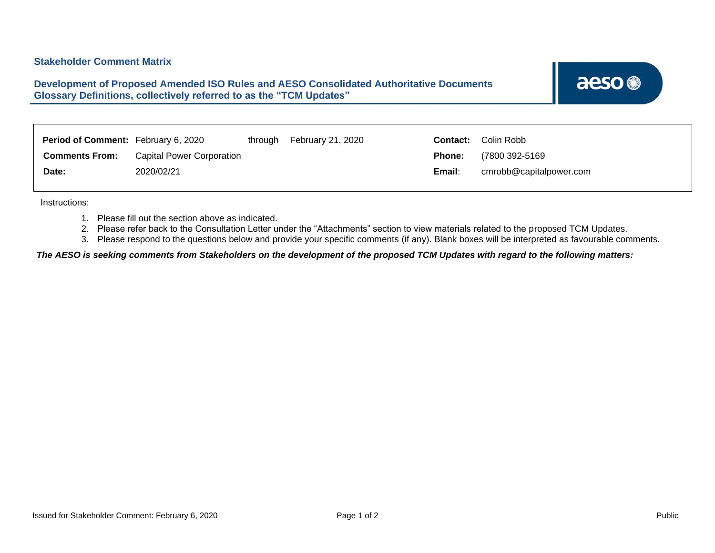<span id="page-1-0"></span>**Development of Proposed Amended ISO Rules and AESO Consolidated Authoritative Documents Glossary Definitions, collectively referred to as the "TCM Updates"**

aeso<sup>®</sup>

| <b>Period of Comment:</b> February 6, 2020 |                                  | through | February 21, 2020 | Contact: | Colin Robb              |
|--------------------------------------------|----------------------------------|---------|-------------------|----------|-------------------------|
| <b>Comments From:</b>                      | <b>Capital Power Corporation</b> |         |                   | Phone:   | (7800 392-5169          |
| Date:                                      | 2020/02/21                       |         |                   | Email:   | cmrobb@capitalpower.com |
|                                            |                                  |         |                   |          |                         |

Instructions:

- 1. Please fill out the section above as indicated.
- 2. Please refer back to the Consultation Letter under the "Attachments" section to view materials related to the proposed TCM Updates.
- 3. Please respond to the questions below and provide your specific comments (if any). Blank boxes will be interpreted as favourable comments.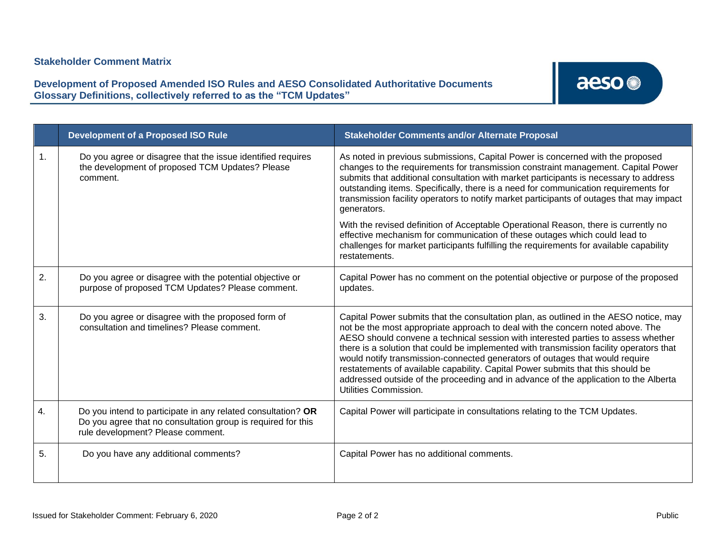**Development of Proposed Amended ISO Rules and AESO Consolidated Authoritative Documents Glossary Definitions, collectively referred to as the "TCM Updates"**

|    | <b>Development of a Proposed ISO Rule</b>                                                                                                                         | <b>Stakeholder Comments and/or Alternate Proposal</b>                                                                                                                                                                                                                                                                                                                                                                                                                                                                                                                                                                                                                                                                                           |
|----|-------------------------------------------------------------------------------------------------------------------------------------------------------------------|-------------------------------------------------------------------------------------------------------------------------------------------------------------------------------------------------------------------------------------------------------------------------------------------------------------------------------------------------------------------------------------------------------------------------------------------------------------------------------------------------------------------------------------------------------------------------------------------------------------------------------------------------------------------------------------------------------------------------------------------------|
| 1. | Do you agree or disagree that the issue identified requires<br>the development of proposed TCM Updates? Please<br>comment.                                        | As noted in previous submissions, Capital Power is concerned with the proposed<br>changes to the requirements for transmission constraint management. Capital Power<br>submits that additional consultation with market participants is necessary to address<br>outstanding items. Specifically, there is a need for communication requirements for<br>transmission facility operators to notify market participants of outages that may impact<br>generators.<br>With the revised definition of Acceptable Operational Reason, there is currently no<br>effective mechanism for communication of these outages which could lead to<br>challenges for market participants fulfilling the requirements for available capability<br>restatements. |
| 2. | Do you agree or disagree with the potential objective or<br>purpose of proposed TCM Updates? Please comment.                                                      | Capital Power has no comment on the potential objective or purpose of the proposed<br>updates.                                                                                                                                                                                                                                                                                                                                                                                                                                                                                                                                                                                                                                                  |
| 3. | Do you agree or disagree with the proposed form of<br>consultation and timelines? Please comment.                                                                 | Capital Power submits that the consultation plan, as outlined in the AESO notice, may<br>not be the most appropriate approach to deal with the concern noted above. The<br>AESO should convene a technical session with interested parties to assess whether<br>there is a solution that could be implemented with transmission facility operators that<br>would notify transmission-connected generators of outages that would require<br>restatements of available capability. Capital Power submits that this should be<br>addressed outside of the proceeding and in advance of the application to the Alberta<br>Utilities Commission.                                                                                                     |
| 4. | Do you intend to participate in any related consultation? OR<br>Do you agree that no consultation group is required for this<br>rule development? Please comment. | Capital Power will participate in consultations relating to the TCM Updates.                                                                                                                                                                                                                                                                                                                                                                                                                                                                                                                                                                                                                                                                    |
| 5. | Do you have any additional comments?                                                                                                                              | Capital Power has no additional comments.                                                                                                                                                                                                                                                                                                                                                                                                                                                                                                                                                                                                                                                                                                       |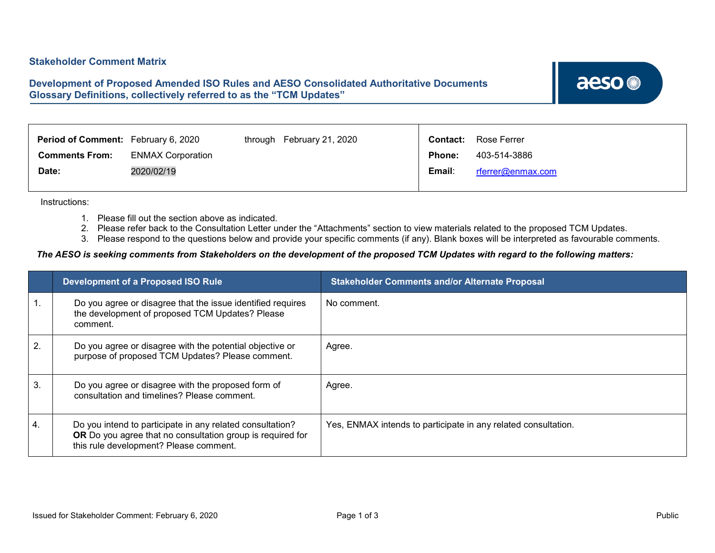### <span id="page-3-0"></span>**Development of Proposed Amended ISO Rules and AESO Consolidated Authoritative Documents Glossary Definitions, collectively referred to as the "TCM Updates"**

aeso<sup>®</sup>

| <b>Period of Comment:</b> February 6, 2020 |                          | through | February 21, 2020 | Contact:      | Rose Ferrer       |
|--------------------------------------------|--------------------------|---------|-------------------|---------------|-------------------|
| <b>Comments From:</b>                      | <b>ENMAX Corporation</b> |         |                   | <b>Phone:</b> | 403-514-3886      |
| Date:                                      | 2020/02/19               |         |                   | Email:        | rferrer@enmax.com |
|                                            |                          |         |                   |               |                   |

Instructions:

- 1. Please fill out the section above as indicated.
- 2. Please refer back to the Consultation Letter under the "Attachments" section to view materials related to the proposed TCM Updates.
- 3. Please respond to the questions below and provide your specific comments (if any). Blank boxes will be interpreted as favourable comments.

|              | Development of a Proposed ISO Rule                                                                                                                                | <b>Stakeholder Comments and/or Alternate Proposal</b>          |
|--------------|-------------------------------------------------------------------------------------------------------------------------------------------------------------------|----------------------------------------------------------------|
|              | Do you agree or disagree that the issue identified requires<br>the development of proposed TCM Updates? Please<br>comment.                                        | No comment.                                                    |
| $\mathbf{2}$ | Do you agree or disagree with the potential objective or<br>purpose of proposed TCM Updates? Please comment.                                                      | Agree.                                                         |
| 3.           | Do you agree or disagree with the proposed form of<br>consultation and timelines? Please comment.                                                                 | Agree.                                                         |
| 4.           | Do you intend to participate in any related consultation?<br>OR Do you agree that no consultation group is required for<br>this rule development? Please comment. | Yes, ENMAX intends to participate in any related consultation. |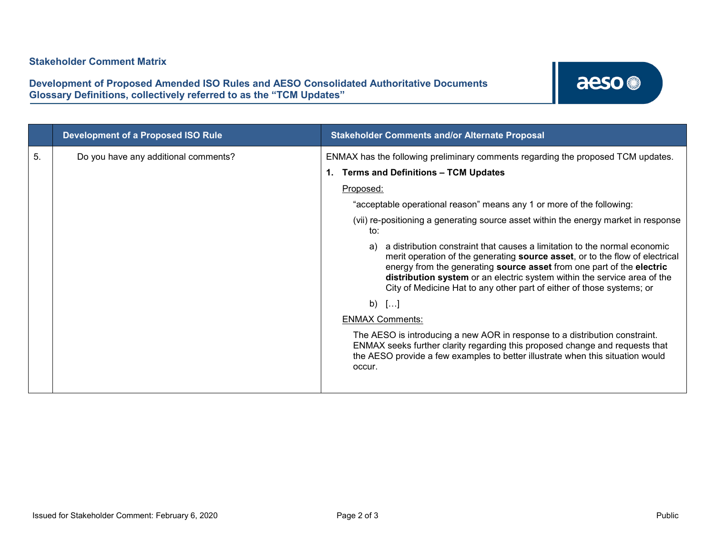**Development of Proposed Amended ISO Rules and AESO Consolidated Authoritative Documents Glossary Definitions, collectively referred to as the "TCM Updates"**

|    | <b>Development of a Proposed ISO Rule</b> | <b>Stakeholder Comments and/or Alternate Proposal</b>                                                                                                                                                                                                                                                                                                                                                                                                                                                                                                                                                                                                                                                                                                                                                                                                                                                                                                                                                               |
|----|-------------------------------------------|---------------------------------------------------------------------------------------------------------------------------------------------------------------------------------------------------------------------------------------------------------------------------------------------------------------------------------------------------------------------------------------------------------------------------------------------------------------------------------------------------------------------------------------------------------------------------------------------------------------------------------------------------------------------------------------------------------------------------------------------------------------------------------------------------------------------------------------------------------------------------------------------------------------------------------------------------------------------------------------------------------------------|
| 5. | Do you have any additional comments?      | ENMAX has the following preliminary comments regarding the proposed TCM updates.<br><b>Terms and Definitions - TCM Updates</b><br>Proposed:<br>"acceptable operational reason" means any 1 or more of the following:<br>(vii) re-positioning a generating source asset within the energy market in response<br>to:<br>a distribution constraint that causes a limitation to the normal economic<br>a)<br>merit operation of the generating source asset, or to the flow of electrical<br>energy from the generating source asset from one part of the electric<br>distribution system or an electric system within the service area of the<br>City of Medicine Hat to any other part of either of those systems; or<br>b) $[]$<br><b>ENMAX Comments:</b><br>The AESO is introducing a new AOR in response to a distribution constraint.<br>ENMAX seeks further clarity regarding this proposed change and requests that<br>the AESO provide a few examples to better illustrate when this situation would<br>occur. |
|    |                                           |                                                                                                                                                                                                                                                                                                                                                                                                                                                                                                                                                                                                                                                                                                                                                                                                                                                                                                                                                                                                                     |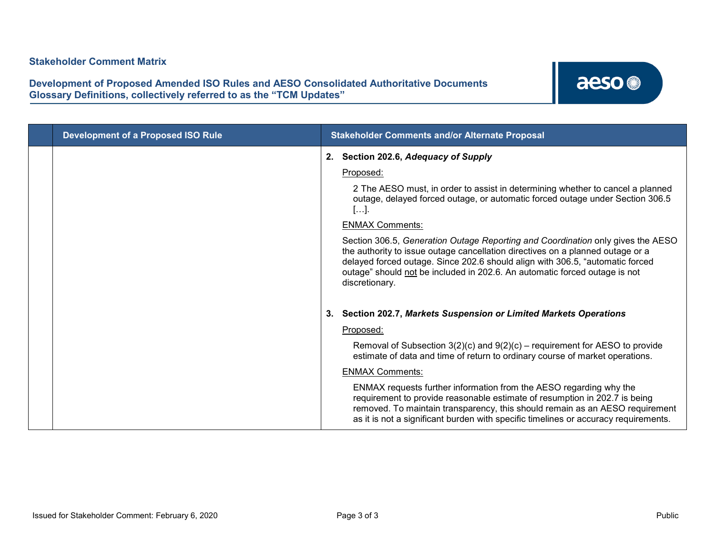| <b>Development of a Proposed ISO Rule</b> |    | <b>Stakeholder Comments and/or Alternate Proposal</b>                                                                                                                                                                                                                                                                                                                                                                                                                                                                                                                                                       |
|-------------------------------------------|----|-------------------------------------------------------------------------------------------------------------------------------------------------------------------------------------------------------------------------------------------------------------------------------------------------------------------------------------------------------------------------------------------------------------------------------------------------------------------------------------------------------------------------------------------------------------------------------------------------------------|
|                                           |    | 2. Section 202.6, Adequacy of Supply<br>Proposed:<br>2 The AESO must, in order to assist in determining whether to cancel a planned<br>outage, delayed forced outage, or automatic forced outage under Section 306.5<br>[].<br><b>ENMAX Comments:</b><br>Section 306.5, Generation Outage Reporting and Coordination only gives the AESO<br>the authority to issue outage cancellation directives on a planned outage or a<br>delayed forced outage. Since 202.6 should align with 306.5, "automatic forced<br>outage" should not be included in 202.6. An automatic forced outage is not<br>discretionary. |
|                                           | 3. | Section 202.7, Markets Suspension or Limited Markets Operations<br>Proposed:<br>Removal of Subsection $3(2)(c)$ and $9(2)(c)$ – requirement for AESO to provide<br>estimate of data and time of return to ordinary course of market operations.<br><b>ENMAX Comments:</b><br>ENMAX requests further information from the AESO regarding why the<br>requirement to provide reasonable estimate of resumption in 202.7 is being<br>removed. To maintain transparency, this should remain as an AESO requirement<br>as it is not a significant burden with specific timelines or accuracy requirements.        |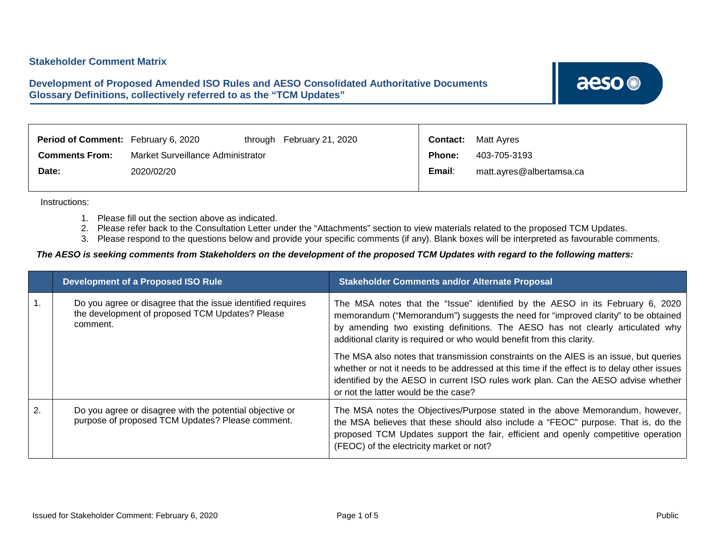### <span id="page-6-0"></span>**Development of Proposed Amended ISO Rules and AESO Consolidated Authoritative Documents Glossary Definitions, collectively referred to as the "TCM Updates"**

aeso<sup>®</sup>

| <b>Period of Comment:</b> February 6, 2020 |                                   | through February 21, 2020 | <b>Contact:</b> | <b>Matt Ayres</b>        |
|--------------------------------------------|-----------------------------------|---------------------------|-----------------|--------------------------|
| <b>Comments From:</b>                      | Market Surveillance Administrator |                           | <b>Phone:</b>   | 403-705-3193             |
| Date:                                      | 2020/02/20                        |                           | Email:          | matt.ayres@albertamsa.ca |
|                                            |                                   |                           |                 |                          |

Instructions:

- 1. Please fill out the section above as indicated.
- 2. Please refer back to the Consultation Letter under the "Attachments" section to view materials related to the proposed TCM Updates.
- 3. Please respond to the questions below and provide your specific comments (if any). Blank boxes will be interpreted as favourable comments.

|    | <b>Development of a Proposed ISO Rule</b>                                                                                  | <b>Stakeholder Comments and/or Alternate Proposal</b>                                                                                                                                                                                                                                                                          |
|----|----------------------------------------------------------------------------------------------------------------------------|--------------------------------------------------------------------------------------------------------------------------------------------------------------------------------------------------------------------------------------------------------------------------------------------------------------------------------|
|    | Do you agree or disagree that the issue identified requires<br>the development of proposed TCM Updates? Please<br>comment. | The MSA notes that the "Issue" identified by the AESO in its February 6, 2020<br>memorandum ("Memorandum") suggests the need for "improved clarity" to be obtained<br>by amending two existing definitions. The AESO has not clearly articulated why<br>additional clarity is required or who would benefit from this clarity. |
|    |                                                                                                                            | The MSA also notes that transmission constraints on the AIES is an issue, but queries<br>whether or not it needs to be addressed at this time if the effect is to delay other issues<br>identified by the AESO in current ISO rules work plan. Can the AESO advise whether<br>or not the latter would be the case?             |
| 2. | Do you agree or disagree with the potential objective or<br>purpose of proposed TCM Updates? Please comment.               | The MSA notes the Objectives/Purpose stated in the above Memorandum, however,<br>the MSA believes that these should also include a "FEOC" purpose. That is, do the<br>proposed TCM Updates support the fair, efficient and openly competitive operation<br>(FEOC) of the electricity market or not?                            |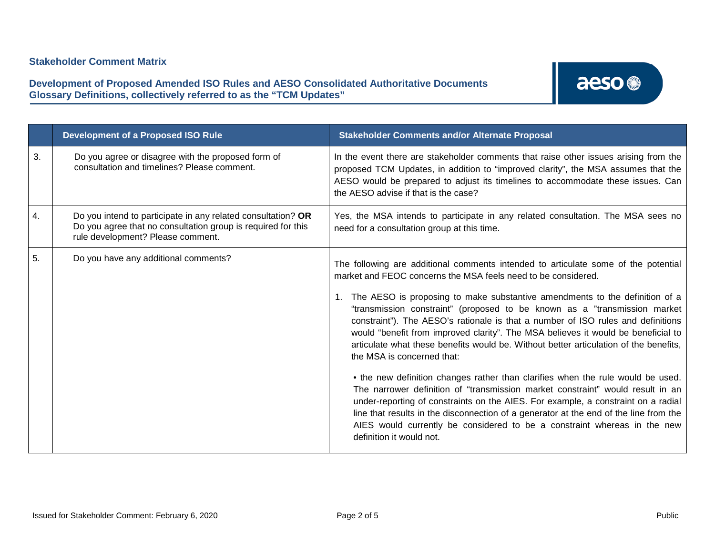### **Development of Proposed Amended ISO Rules and AESO Consolidated Authoritative Documents Glossary Definitions, collectively referred to as the "TCM Updates"**

|    | <b>Development of a Proposed ISO Rule</b>                                                                                                                         | <b>Stakeholder Comments and/or Alternate Proposal</b>                                                                                                                                                                                                                                                                                                                                                                                                                                                                                                                                                                                                                                                                                                                                                                                                                                                                                                                                                                                                                                     |
|----|-------------------------------------------------------------------------------------------------------------------------------------------------------------------|-------------------------------------------------------------------------------------------------------------------------------------------------------------------------------------------------------------------------------------------------------------------------------------------------------------------------------------------------------------------------------------------------------------------------------------------------------------------------------------------------------------------------------------------------------------------------------------------------------------------------------------------------------------------------------------------------------------------------------------------------------------------------------------------------------------------------------------------------------------------------------------------------------------------------------------------------------------------------------------------------------------------------------------------------------------------------------------------|
| 3. | Do you agree or disagree with the proposed form of<br>consultation and timelines? Please comment.                                                                 | In the event there are stakeholder comments that raise other issues arising from the<br>proposed TCM Updates, in addition to "improved clarity", the MSA assumes that the<br>AESO would be prepared to adjust its timelines to accommodate these issues. Can<br>the AESO advise if that is the case?                                                                                                                                                                                                                                                                                                                                                                                                                                                                                                                                                                                                                                                                                                                                                                                      |
| 4. | Do you intend to participate in any related consultation? OR<br>Do you agree that no consultation group is required for this<br>rule development? Please comment. | Yes, the MSA intends to participate in any related consultation. The MSA sees no<br>need for a consultation group at this time.                                                                                                                                                                                                                                                                                                                                                                                                                                                                                                                                                                                                                                                                                                                                                                                                                                                                                                                                                           |
| 5. | Do you have any additional comments?                                                                                                                              | The following are additional comments intended to articulate some of the potential<br>market and FEOC concerns the MSA feels need to be considered.<br>The AESO is proposing to make substantive amendments to the definition of a<br>$1_{\cdot}$<br>"transmission constraint" (proposed to be known as a "transmission market<br>constraint"). The AESO's rationale is that a number of ISO rules and definitions<br>would "benefit from improved clarity". The MSA believes it would be beneficial to<br>articulate what these benefits would be. Without better articulation of the benefits,<br>the MSA is concerned that:<br>• the new definition changes rather than clarifies when the rule would be used.<br>The narrower definition of "transmission market constraint" would result in an<br>under-reporting of constraints on the AIES. For example, a constraint on a radial<br>line that results in the disconnection of a generator at the end of the line from the<br>AIES would currently be considered to be a constraint whereas in the new<br>definition it would not. |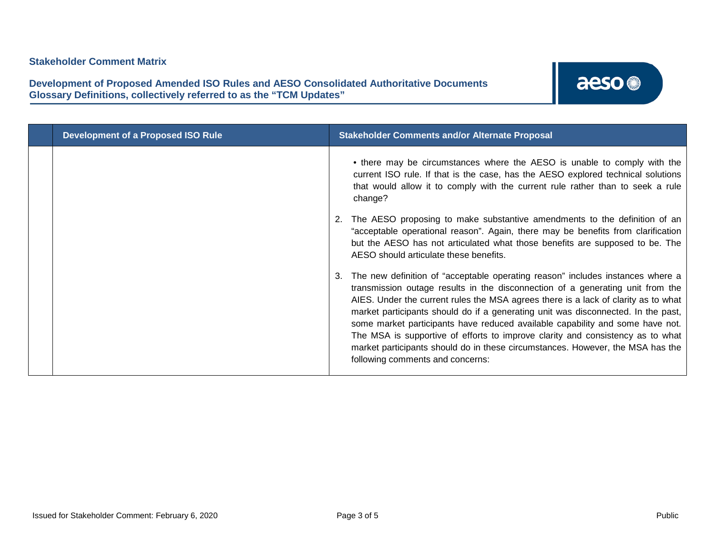| <b>Development of a Proposed ISO Rule</b> | <b>Stakeholder Comments and/or Alternate Proposal</b>                                                                                                                                                                                                                                                                                                                                                                                                                                                                                                                                                                                |
|-------------------------------------------|--------------------------------------------------------------------------------------------------------------------------------------------------------------------------------------------------------------------------------------------------------------------------------------------------------------------------------------------------------------------------------------------------------------------------------------------------------------------------------------------------------------------------------------------------------------------------------------------------------------------------------------|
|                                           | • there may be circumstances where the AESO is unable to comply with the<br>current ISO rule. If that is the case, has the AESO explored technical solutions<br>that would allow it to comply with the current rule rather than to seek a rule<br>change?<br>The AESO proposing to make substantive amendments to the definition of an<br>"acceptable operational reason". Again, there may be benefits from clarification<br>but the AESO has not articulated what those benefits are supposed to be. The<br>AESO should articulate these benefits.                                                                                 |
|                                           | The new definition of "acceptable operating reason" includes instances where a<br>transmission outage results in the disconnection of a generating unit from the<br>AIES. Under the current rules the MSA agrees there is a lack of clarity as to what<br>market participants should do if a generating unit was disconnected. In the past,<br>some market participants have reduced available capability and some have not.<br>The MSA is supportive of efforts to improve clarity and consistency as to what<br>market participants should do in these circumstances. However, the MSA has the<br>following comments and concerns: |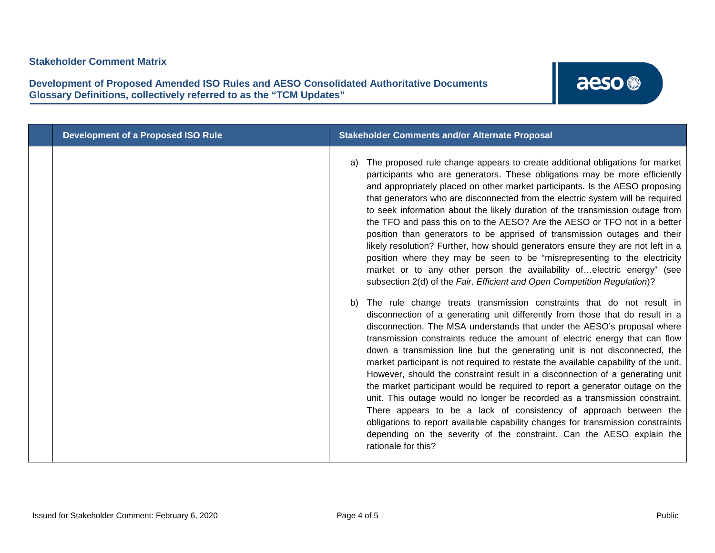**Development of Proposed Amended ISO Rules and AESO Consolidated Authoritative Documents Glossary Definitions, collectively referred to as the "TCM Updates"**

| The proposed rule change appears to create additional obligations for market<br>a)                                                                                                                                                                                                                                                                                                                                                                                                                                                                                                                                                                                                                                                                                                                                                                                                                                                                                                                                                                                                                                                                                                                                                                                                                                                                                                                                                                                                                                                                                                                                                                                                                                                                                                           |
|----------------------------------------------------------------------------------------------------------------------------------------------------------------------------------------------------------------------------------------------------------------------------------------------------------------------------------------------------------------------------------------------------------------------------------------------------------------------------------------------------------------------------------------------------------------------------------------------------------------------------------------------------------------------------------------------------------------------------------------------------------------------------------------------------------------------------------------------------------------------------------------------------------------------------------------------------------------------------------------------------------------------------------------------------------------------------------------------------------------------------------------------------------------------------------------------------------------------------------------------------------------------------------------------------------------------------------------------------------------------------------------------------------------------------------------------------------------------------------------------------------------------------------------------------------------------------------------------------------------------------------------------------------------------------------------------------------------------------------------------------------------------------------------------|
| participants who are generators. These obligations may be more efficiently<br>and appropriately placed on other market participants. Is the AESO proposing<br>that generators who are disconnected from the electric system will be required<br>to seek information about the likely duration of the transmission outage from<br>the TFO and pass this on to the AESO? Are the AESO or TFO not in a better<br>position than generators to be apprised of transmission outages and their<br>likely resolution? Further, how should generators ensure they are not left in a<br>position where they may be seen to be "misrepresenting to the electricity<br>market or to any other person the availability ofelectric energy" (see<br>subsection 2(d) of the Fair, Efficient and Open Competition Regulation)?<br>The rule change treats transmission constraints that do not result in<br>b)<br>disconnection of a generating unit differently from those that do result in a<br>disconnection. The MSA understands that under the AESO's proposal where<br>transmission constraints reduce the amount of electric energy that can flow<br>down a transmission line but the generating unit is not disconnected, the<br>market participant is not required to restate the available capability of the unit.<br>However, should the constraint result in a disconnection of a generating unit<br>the market participant would be required to report a generator outage on the<br>unit. This outage would no longer be recorded as a transmission constraint.<br>There appears to be a lack of consistency of approach between the<br>obligations to report available capability changes for transmission constraints<br>depending on the severity of the constraint. Can the AESO explain the |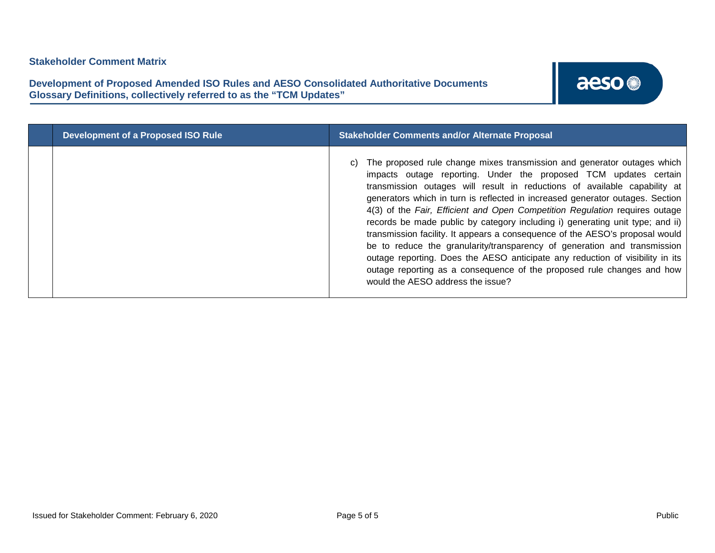| <b>Development of a Proposed ISO Rule</b> | <b>Stakeholder Comments and/or Alternate Proposal</b>                                                                                                                                                                                                                                                                                                                                                                                                                                                                                                                                                                                                                                                                                                                                                                                 |
|-------------------------------------------|---------------------------------------------------------------------------------------------------------------------------------------------------------------------------------------------------------------------------------------------------------------------------------------------------------------------------------------------------------------------------------------------------------------------------------------------------------------------------------------------------------------------------------------------------------------------------------------------------------------------------------------------------------------------------------------------------------------------------------------------------------------------------------------------------------------------------------------|
|                                           | The proposed rule change mixes transmission and generator outages which<br>impacts outage reporting. Under the proposed TCM updates certain<br>transmission outages will result in reductions of available capability at<br>generators which in turn is reflected in increased generator outages. Section<br>4(3) of the Fair, Efficient and Open Competition Regulation requires outage<br>records be made public by category including i) generating unit type; and ii)<br>transmission facility. It appears a consequence of the AESO's proposal would<br>be to reduce the granularity/transparency of generation and transmission<br>outage reporting. Does the AESO anticipate any reduction of visibility in its<br>outage reporting as a consequence of the proposed rule changes and how<br>would the AESO address the issue? |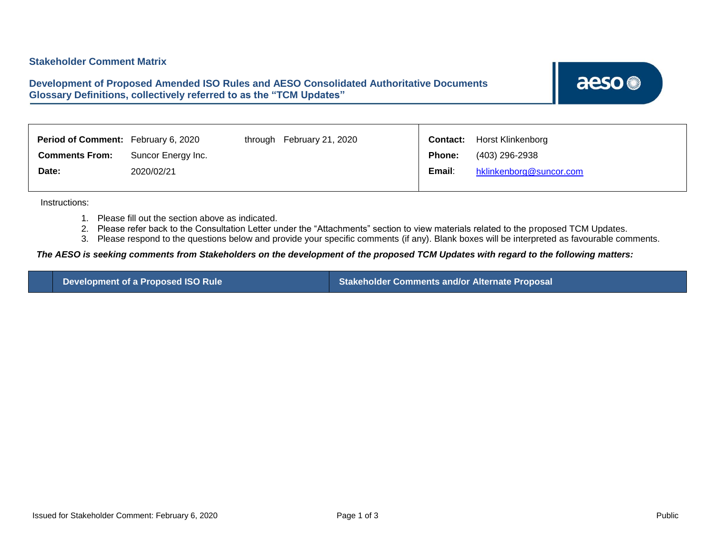### <span id="page-11-0"></span>**Development of Proposed Amended ISO Rules and AESO Consolidated Authoritative Documents Glossary Definitions, collectively referred to as the "TCM Updates"**

aeso<sup>®</sup>

| <b>Period of Comment:</b> February 6, 2020 |                    | through | February 21, 2020 | Contact:      | Horst Klinkenborg       |
|--------------------------------------------|--------------------|---------|-------------------|---------------|-------------------------|
| <b>Comments From:</b>                      | Suncor Energy Inc. |         |                   | <b>Phone:</b> | (403) 296-2938          |
| Date:                                      | 2020/02/21         |         |                   | Email:        | hklinkenborg@suncor.com |
|                                            |                    |         |                   |               |                         |

Instructions:

- 1. Please fill out the section above as indicated.
- 2. Please refer back to the Consultation Letter under the "Attachments" section to view materials related to the proposed TCM Updates.
- 3. Please respond to the questions below and provide your specific comments (if any). Blank boxes will be interpreted as favourable comments.

#### *The AESO is seeking comments from Stakeholders on the development of the proposed TCM Updates with regard to the following matters:*

**Development of a Proposed ISO Rule Stakeholder Comments and/or Alternate Proposal**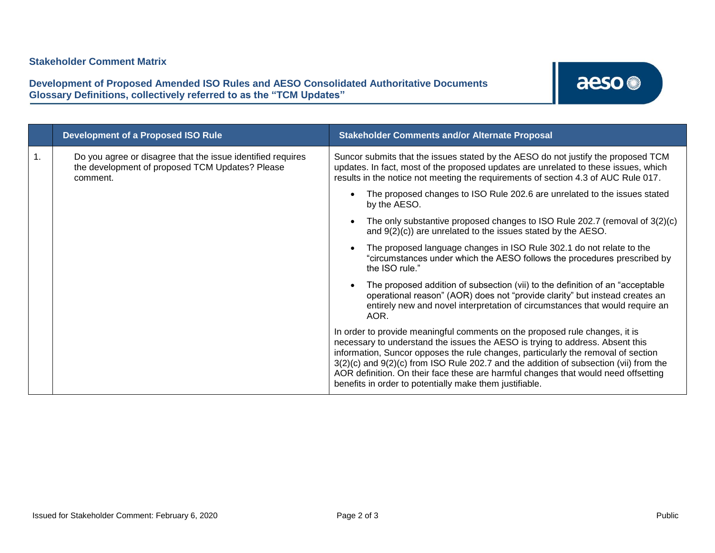| <b>Development of a Proposed ISO Rule</b>                                                                                  | <b>Stakeholder Comments and/or Alternate Proposal</b>                                                                                                                                                                                                                                                                                                                                                                                                                                           |  |
|----------------------------------------------------------------------------------------------------------------------------|-------------------------------------------------------------------------------------------------------------------------------------------------------------------------------------------------------------------------------------------------------------------------------------------------------------------------------------------------------------------------------------------------------------------------------------------------------------------------------------------------|--|
| Do you agree or disagree that the issue identified requires<br>the development of proposed TCM Updates? Please<br>comment. | Suncor submits that the issues stated by the AESO do not justify the proposed TCM<br>updates. In fact, most of the proposed updates are unrelated to these issues, which<br>results in the notice not meeting the requirements of section 4.3 of AUC Rule 017.                                                                                                                                                                                                                                  |  |
|                                                                                                                            | The proposed changes to ISO Rule 202.6 are unrelated to the issues stated<br>by the AESO.                                                                                                                                                                                                                                                                                                                                                                                                       |  |
|                                                                                                                            | The only substantive proposed changes to ISO Rule 202.7 (removal of $3(2)(c)$ )<br>and $9(2)(c)$ ) are unrelated to the issues stated by the AESO.                                                                                                                                                                                                                                                                                                                                              |  |
|                                                                                                                            | The proposed language changes in ISO Rule 302.1 do not relate to the<br>"circumstances under which the AESO follows the procedures prescribed by<br>the ISO rule."                                                                                                                                                                                                                                                                                                                              |  |
|                                                                                                                            | The proposed addition of subsection (vii) to the definition of an "acceptable"<br>operational reason" (AOR) does not "provide clarity" but instead creates an<br>entirely new and novel interpretation of circumstances that would require an<br>AOR.                                                                                                                                                                                                                                           |  |
|                                                                                                                            | In order to provide meaningful comments on the proposed rule changes, it is<br>necessary to understand the issues the AESO is trying to address. Absent this<br>information, Suncor opposes the rule changes, particularly the removal of section<br>$3(2)(c)$ and $9(2)(c)$ from ISO Rule 202.7 and the addition of subsection (vii) from the<br>AOR definition. On their face these are harmful changes that would need offsetting<br>benefits in order to potentially make them justifiable. |  |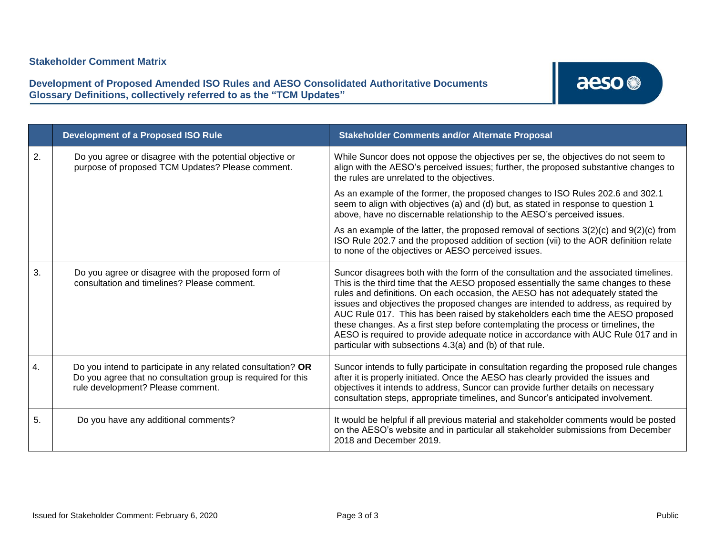|    | <b>Development of a Proposed ISO Rule</b>                                                                                                                         | <b>Stakeholder Comments and/or Alternate Proposal</b>                                                                                                                                                                                                                                                                                                                                                                                                                                                                                                                                                                                                                          |
|----|-------------------------------------------------------------------------------------------------------------------------------------------------------------------|--------------------------------------------------------------------------------------------------------------------------------------------------------------------------------------------------------------------------------------------------------------------------------------------------------------------------------------------------------------------------------------------------------------------------------------------------------------------------------------------------------------------------------------------------------------------------------------------------------------------------------------------------------------------------------|
| 2. | Do you agree or disagree with the potential objective or<br>purpose of proposed TCM Updates? Please comment.                                                      | While Suncor does not oppose the objectives per se, the objectives do not seem to<br>align with the AESO's perceived issues; further, the proposed substantive changes to<br>the rules are unrelated to the objectives.                                                                                                                                                                                                                                                                                                                                                                                                                                                        |
|    |                                                                                                                                                                   | As an example of the former, the proposed changes to ISO Rules 202.6 and 302.1<br>seem to align with objectives (a) and (d) but, as stated in response to question 1<br>above, have no discernable relationship to the AESO's perceived issues.                                                                                                                                                                                                                                                                                                                                                                                                                                |
|    |                                                                                                                                                                   | As an example of the latter, the proposed removal of sections $3(2)(c)$ and $9(2)(c)$ from<br>ISO Rule 202.7 and the proposed addition of section (vii) to the AOR definition relate<br>to none of the objectives or AESO perceived issues.                                                                                                                                                                                                                                                                                                                                                                                                                                    |
| 3. | Do you agree or disagree with the proposed form of<br>consultation and timelines? Please comment.                                                                 | Suncor disagrees both with the form of the consultation and the associated timelines.<br>This is the third time that the AESO proposed essentially the same changes to these<br>rules and definitions. On each occasion, the AESO has not adequately stated the<br>issues and objectives the proposed changes are intended to address, as required by<br>AUC Rule 017. This has been raised by stakeholders each time the AESO proposed<br>these changes. As a first step before contemplating the process or timelines, the<br>AESO is required to provide adequate notice in accordance with AUC Rule 017 and in<br>particular with subsections 4.3(a) and (b) of that rule. |
| 4. | Do you intend to participate in any related consultation? OR<br>Do you agree that no consultation group is required for this<br>rule development? Please comment. | Suncor intends to fully participate in consultation regarding the proposed rule changes<br>after it is properly initiated. Once the AESO has clearly provided the issues and<br>objectives it intends to address, Suncor can provide further details on necessary<br>consultation steps, appropriate timelines, and Suncor's anticipated involvement.                                                                                                                                                                                                                                                                                                                          |
| 5. | Do you have any additional comments?                                                                                                                              | It would be helpful if all previous material and stakeholder comments would be posted<br>on the AESO's website and in particular all stakeholder submissions from December<br>2018 and December 2019.                                                                                                                                                                                                                                                                                                                                                                                                                                                                          |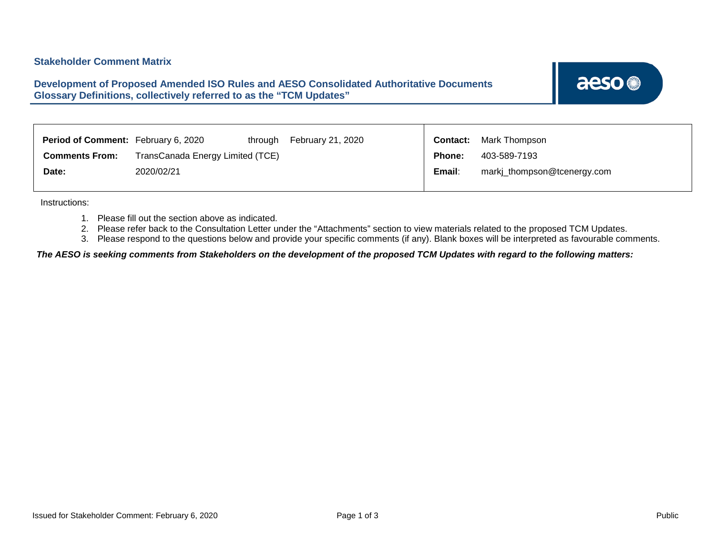### <span id="page-14-0"></span>**Development of Proposed Amended ISO Rules and AESO Consolidated Authoritative Documents Glossary Definitions, collectively referred to as the "TCM Updates"**

aeso<sup>®</sup>

| <b>Period of Comment:</b> February 6, 2020<br>through     | February 21, 2020 | Contact: | Mark Thompson               |
|-----------------------------------------------------------|-------------------|----------|-----------------------------|
| TransCanada Energy Limited (TCE)<br><b>Comments From:</b> |                   | Phone:   | 403-589-7193                |
| 2020/02/21<br>Date:                                       |                   | Email:   | markj_thompson@tcenergy.com |

Instructions:

- 1. Please fill out the section above as indicated.
- 2. Please refer back to the Consultation Letter under the "Attachments" section to view materials related to the proposed TCM Updates.
- 3. Please respond to the questions below and provide your specific comments (if any). Blank boxes will be interpreted as favourable comments.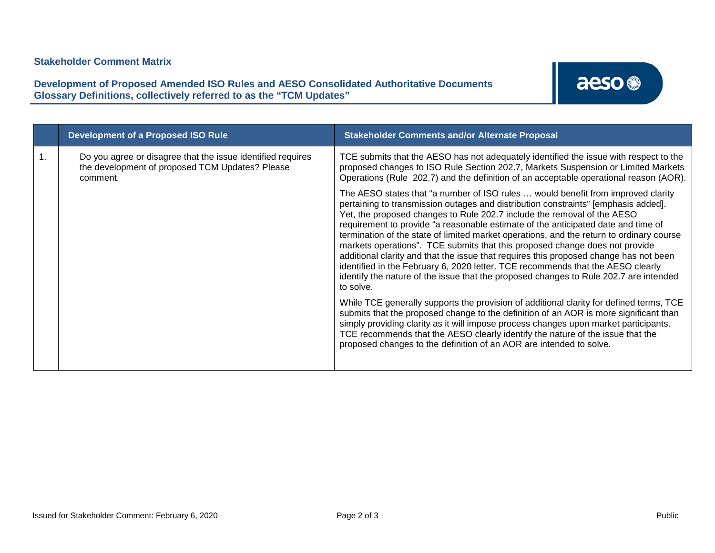**Development of Proposed Amended ISO Rules and AESO Consolidated Authoritative Documents Glossary Definitions, collectively referred to as the "TCM Updates"**

| <b>Development of a Proposed ISO Rule</b>                                                                                  | <b>Stakeholder Comments and/or Alternate Proposal</b>                                                                                                                                                                                                                                                                                                                                                                                                                                                                                                                                                                                                                                                                                                                                               |
|----------------------------------------------------------------------------------------------------------------------------|-----------------------------------------------------------------------------------------------------------------------------------------------------------------------------------------------------------------------------------------------------------------------------------------------------------------------------------------------------------------------------------------------------------------------------------------------------------------------------------------------------------------------------------------------------------------------------------------------------------------------------------------------------------------------------------------------------------------------------------------------------------------------------------------------------|
| Do you agree or disagree that the issue identified requires<br>the development of proposed TCM Updates? Please<br>comment. | TCE submits that the AESO has not adequately identified the issue with respect to the<br>proposed changes to ISO Rule Section 202.7, Markets Suspension or Limited Markets<br>Operations (Rule 202.7) and the definition of an acceptable operational reason (AOR).                                                                                                                                                                                                                                                                                                                                                                                                                                                                                                                                 |
|                                                                                                                            | The AESO states that "a number of ISO rules  would benefit from improved clarity<br>pertaining to transmission outages and distribution constraints" [emphasis added].<br>Yet, the proposed changes to Rule 202.7 include the removal of the AESO<br>requirement to provide "a reasonable estimate of the anticipated date and time of<br>termination of the state of limited market operations, and the return to ordinary course<br>markets operations". TCE submits that this proposed change does not provide<br>additional clarity and that the issue that requires this proposed change has not been<br>identified in the February 6, 2020 letter. TCE recommends that the AESO clearly<br>identify the nature of the issue that the proposed changes to Rule 202.7 are intended<br>to solve. |
|                                                                                                                            | While TCE generally supports the provision of additional clarity for defined terms, TCE<br>submits that the proposed change to the definition of an AOR is more significant than<br>simply providing clarity as it will impose process changes upon market participants.<br>TCE recommends that the AESO clearly identify the nature of the issue that the<br>proposed changes to the definition of an AOR are intended to solve.                                                                                                                                                                                                                                                                                                                                                                   |